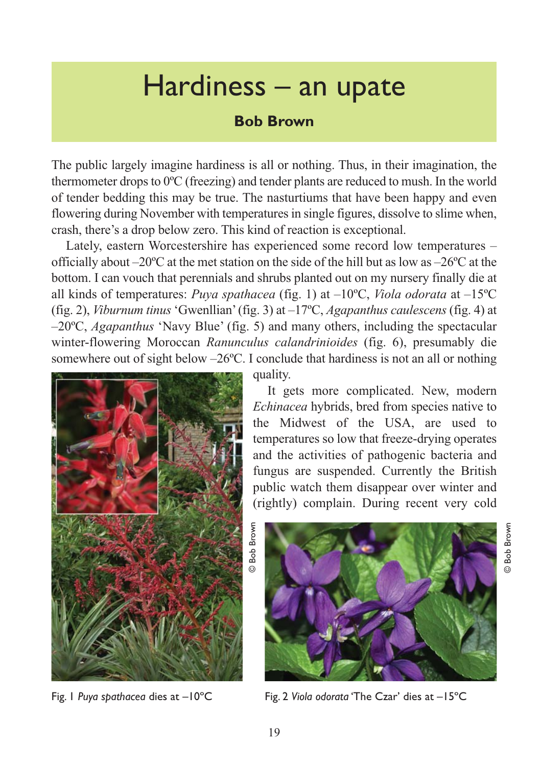## Hardiness – an upate

## **Bob Brown**

The public largely imagine hardiness is all or nothing. Thus, in their imagination, the thermometer drops to 0ºC (freezing) and tender plants are reduced to mush. In the world of tender bedding this may be true. The nasturtiums that have been happy and even flowering during November with temperatures in single figures, dissolve to slime when, crash, there's a drop below zero. This kind of reaction is exceptional.

Lately, eastern Worcestershire has experienced some record low temperatures – officially about –20ºC at the met station on the side of the hill but as low as –26ºC at the bottom. I can vouch that perennials and shrubs planted out on my nursery finally die at all kinds of temperatures: *Puya spathacea* (fig. 1) at –10ºC, *Viola odorata* at –15ºC (fig. 2), *Viburnum tinus* 'Gwenllian' (fig. 3) at –17ºC, *Agapanthus caulescens* (fig. 4) at –20ºC, *Agapanthus* 'Navy Blue' (fig. 5) and many others, including the spectacular winter-flowering Moroccan *Ranunculus calandrinioides* (fig. 6), presumably die somewhere out of sight below –26ºC. I conclude that hardiness is not an all or nothing



Fig. 1 *Puya spathacea* dies at –10ºC

quality.

It gets more complicated. New, modern *Echinacea* hybrids, bred from species native to the Midwest of the USA, are used to temperatures so low that freeze-drying operates and the activities of pathogenic bacteria and fungus are suspended. Currently the British public watch them disappear over winter and (rightly) complain. During recent very cold





© Bob Brown

ര

Bob Brown

Fig. 2 *Viola odorata* 'The Czar' dies at –15ºC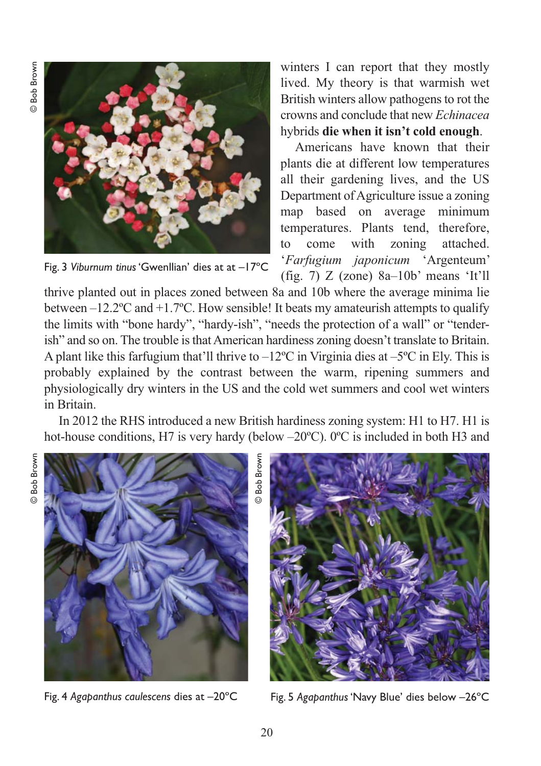**Bob Brown** © Bob Brown



Fig. 3 *Viburnum tinus* 'Gwenllian' dies at at –17ºC

winters I can report that they mostly lived. My theory is that warmish wet British winters allow pathogens to rot the crowns and conclude that new *Echinacea* hybrids **die when it isn't cold enough**.

Americans have known that their plants die at different low temperatures all their gardening lives, and the US Department of Agriculture issue a zoning map based on average minimum temperatures. Plants tend, therefore, to come with zoning attached. '*Farfugium japonicum* 'Argenteum' (fig. 7) Z (zone) 8a–10b' means 'It'll

thrive planted out in places zoned between 8a and 10b where the average minima lie between  $-12.2$ <sup>o</sup>C and  $+1.7$ <sup>o</sup>C. How sensible! It beats my amateurish attempts to qualify the limits with "bone hardy", "hardy-ish", "needs the protection of a wall" or "tenderish" and so on. The trouble is that American hardiness zoning doesn't translate to Britain. A plant like this farfugium that'll thrive to  $-12^{\circ}\text{C}$  in Virginia dies at  $-5^{\circ}\text{C}$  in Ely. This is probably explained by the contrast between the warm, ripening summers and physiologically dry winters in the US and the cold wet summers and cool wet winters in Britain.

In 2012 the RHS introduced a new British hardiness zoning system: H1 to H7. H1 is hot-house conditions, H7 is very hardy (below –20°C). 0°C is included in both H3 and

**Bob Brown** © Bob Brown



© Bob Brown**Bob Brown** 



Fig. 4 *Agapanthus caulescens* dies at –20ºC Fig. 5 *Agapanthus* 'Navy Blue' dies below –26ºC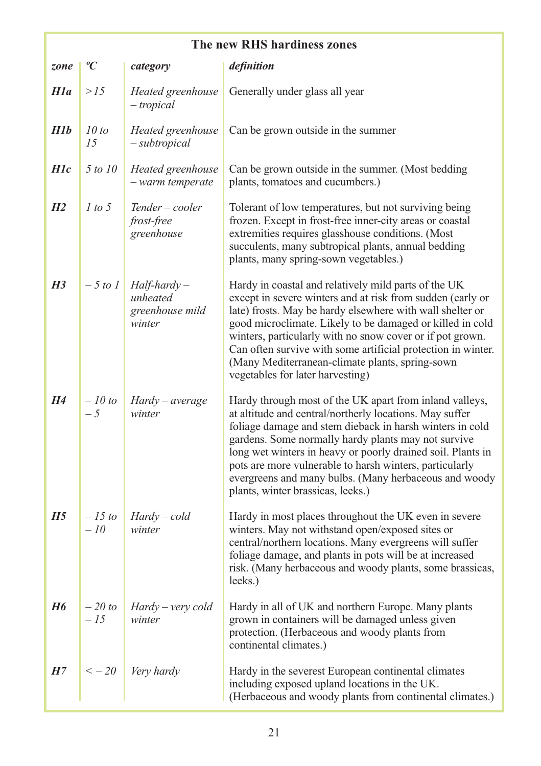| The new RHS hardiness zones |                    |                                                         |                                                                                                                                                                                                                                                                                                                                                                                                                                                                  |
|-----------------------------|--------------------|---------------------------------------------------------|------------------------------------------------------------------------------------------------------------------------------------------------------------------------------------------------------------------------------------------------------------------------------------------------------------------------------------------------------------------------------------------------------------------------------------------------------------------|
| zone                        | ${}^oC$            | category                                                | definition                                                                                                                                                                                                                                                                                                                                                                                                                                                       |
| H1a                         | >15                | Heated greenhouse<br>- tropical                         | Generally under glass all year                                                                                                                                                                                                                                                                                                                                                                                                                                   |
| H1b                         | 10 to<br>15        | Heated greenhouse<br>- subtropical                      | Can be grown outside in the summer                                                                                                                                                                                                                                                                                                                                                                                                                               |
| H <sub>1c</sub>             | 5 to 10            | Heated greenhouse<br>- warm temperate                   | Can be grown outside in the summer. (Most bedding<br>plants, tomatoes and cucumbers.)                                                                                                                                                                                                                                                                                                                                                                            |
| H2                          | 1 to 5             | Tender – cooler<br><i>frost-free</i><br>greenhouse      | Tolerant of low temperatures, but not surviving being<br>frozen. Except in frost-free inner-city areas or coastal<br>extremities requires glasshouse conditions. (Most<br>succulents, many subtropical plants, annual bedding<br>plants, many spring-sown vegetables.)                                                                                                                                                                                           |
| H <sub>3</sub>              | $-5$ to 1          | $Half-hardy -$<br>unheated<br>greenhouse mild<br>winter | Hardy in coastal and relatively mild parts of the UK<br>except in severe winters and at risk from sudden (early or<br>late) frosts. May be hardy elsewhere with wall shelter or<br>good microclimate. Likely to be damaged or killed in cold<br>winters, particularly with no snow cover or if pot grown.<br>Can often survive with some artificial protection in winter.<br>(Many Mediterranean-climate plants, spring-sown<br>vegetables for later harvesting) |
| H4                          | $-10$ to<br>$-5$   | Hardy – average<br>winter                               | Hardy through most of the UK apart from inland valleys,<br>at altitude and central/northerly locations. May suffer<br>foliage damage and stem dieback in harsh winters in cold<br>gardens. Some normally hardy plants may not survive<br>long wet winters in heavy or poorly drained soil. Plants in<br>pots are more vulnerable to harsh winters, particularly<br>evergreens and many bulbs. (Many herbaceous and woody<br>plants, winter brassicas, leeks.)    |
| H5                          | $-15 to$<br>$-10$  | Hardy – cold<br>winter                                  | Hardy in most places throughout the UK even in severe<br>winters. May not withstand open/exposed sites or<br>central/northern locations. Many evergreens will suffer<br>foliage damage, and plants in pots will be at increased<br>risk. (Many herbaceous and woody plants, some brassicas,<br>leeks.)                                                                                                                                                           |
| H6                          | $-20$ to<br>$-1.5$ | Hardy – very cold<br>winter                             | Hardy in all of UK and northern Europe. Many plants<br>grown in containers will be damaged unless given<br>protection. (Herbaceous and woody plants from<br>continental climates.)                                                                                                                                                                                                                                                                               |
| H7                          | $\leq -20$         | Very hardy                                              | Hardy in the severest European continental climates<br>including exposed upland locations in the UK.<br>(Herbaceous and woody plants from continental climates.)                                                                                                                                                                                                                                                                                                 |